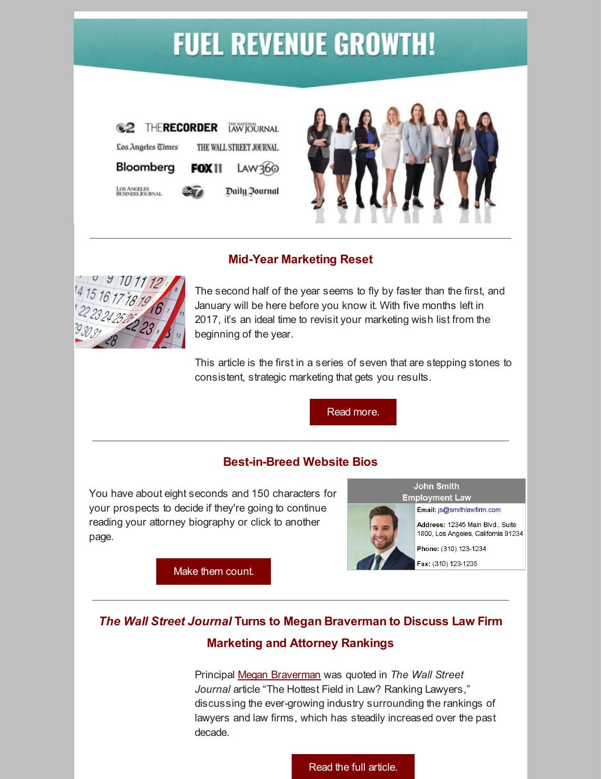# **FUEL REVENUE GROWTH!**





### **Mid-Year Marketing Reset**



The second half of the year seems to fly by faster than the first, and January will be here before you know it. With five months left in 2017, it's an ideal time to revisit your marketing wish list from the beginning of the year.

This article is the first in a series of seven that are stepping stones to consistent, strategic marketing that gets you results.

Read [more.](https://www.berbay.com/news/13471-2/)

## **Best-in-Breed Website Bios**

You have about eight seconds and 150 characters for your prospects to decide if they're going to continue reading your attorney biography or click to another page.



#### **John Smith Employment Law**

Email: js@smithlawfirm.com

Address: 12345 Main Blvd., Suite 1800, Los Angeles, California 91234

Phone: (310) 123-1234

Fax: (310) 123-1235

Make them [count.](https://www.berbay.com/best-breed-website-bios/)

# *The Wall Street Journal* **Turns to Megan Braverman to Discuss Law Firm Marketing and Attorney Rankings**

Principal Megan [Braverman](https://www.berbay.com/about/our-team/megan-braverman/) was quoted in *The Wall Street Journal* article "The Hottest Field in Law? Ranking Lawyers," discussing the ever-growing industry surrounding the rankings of lawyers and law firms, which has steadily increased over the past decade.

Read the full [article.](https://www.berbay.com/news/wall-street-journal-turns-megan-braverman-discuss-hottest-trend-law-firm-marketing-attorney-rankings/)